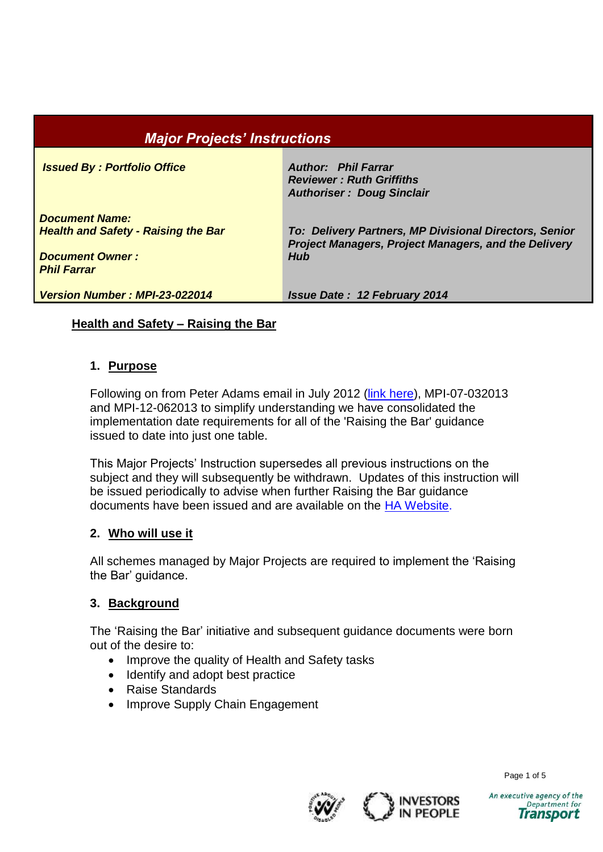# *Major Projects' Instructions*

*Issued By : Portfolio Office Author: Phil Farrar*

*Document Name: Health and Safety - Raising the Bar* *Reviewer : Ruth Griffiths Authoriser : Doug Sinclair*

*To: Delivery Partners, MP Divisional Directors, Senior Project Managers, Project Managers, and the Delivery Hub*

*Document Owner : Phil Farrar*

*Version Number : MPI-23-022014 Issue Date : 12 February 2014*

### **Health and Safety – Raising the Bar**

### **1. Purpose**

Following on from Peter Adams email in July 2012 [\(link here\)](http://www.highways.gov.uk/publications/major-projects-delivery-hub-health-safety-action-group), MPI-07-032013 and MPI-12-062013 to simplify understanding we have consolidated the implementation date requirements for all of the 'Raising the Bar' guidance issued to date into just one table.

This Major Projects' Instruction supersedes all previous instructions on the subject and they will subsequently be withdrawn. Updates of this instruction will be issued periodically to advise when further Raising the Bar guidance documents have been issued and are available on the HA [Website.](http://www.highways.gov.uk/our-road-network/safety/major-projects-delivery-hub-health-safety-action-group)

### **2. Who will use it**

All schemes managed by Major Projects are required to implement the 'Raising the Bar' guidance.

### **3. Background**

The 'Raising the Bar' initiative and subsequent guidance documents were born out of the desire to:

- Improve the quality of Health and Safety tasks
- Identify and adopt best practice
- Raise Standards
- Improve Supply Chain Engagement





Page 1 of 5

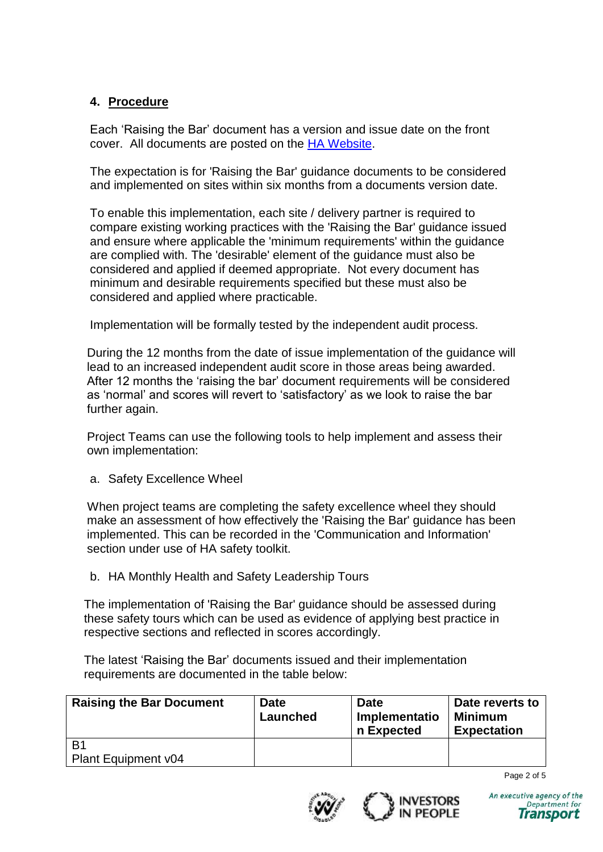### **4. Procedure**

Each 'Raising the Bar' document has a version and issue date on the front cover. All documents are posted on the [HA Website.](http://www.highways.gov.uk/publications/major-projects-delivery-hub-health-safety-action-group)

The expectation is for 'Raising the Bar' guidance documents to be considered and implemented on sites within six months from a documents version date.

To enable this implementation, each site / delivery partner is required to compare existing working practices with the 'Raising the Bar' guidance issued and ensure where applicable the 'minimum requirements' within the guidance are complied with. The 'desirable' element of the guidance must also be considered and applied if deemed appropriate. Not every document has minimum and desirable requirements specified but these must also be considered and applied where practicable.

Implementation will be formally tested by the independent audit process.

During the 12 months from the date of issue implementation of the guidance will lead to an increased independent audit score in those areas being awarded. After 12 months the 'raising the bar' document requirements will be considered as 'normal' and scores will revert to 'satisfactory' as we look to raise the bar further again.

Project Teams can use the following tools to help implement and assess their own implementation:

a. Safety Excellence Wheel

When project teams are completing the safety excellence wheel they should make an assessment of how effectively the 'Raising the Bar' guidance has been implemented. This can be recorded in the 'Communication and Information' section under use of HA safety toolkit.

b. HA Monthly Health and Safety Leadership Tours

The implementation of 'Raising the Bar' guidance should be assessed during these safety tours which can be used as evidence of applying best practice in respective sections and reflected in scores accordingly.

The latest 'Raising the Bar' documents issued and their implementation requirements are documented in the table below:

| <b>Raising the Bar Document</b> | <b>Date</b><br>Launched | Date<br>Implementatio<br>n Expected | Date reverts to<br><b>Minimum</b><br><b>Expectation</b> |
|---------------------------------|-------------------------|-------------------------------------|---------------------------------------------------------|
| B <sub>1</sub>                  |                         |                                     |                                                         |
| <b>Plant Equipment v04</b>      |                         |                                     |                                                         |

Page 2 of 5





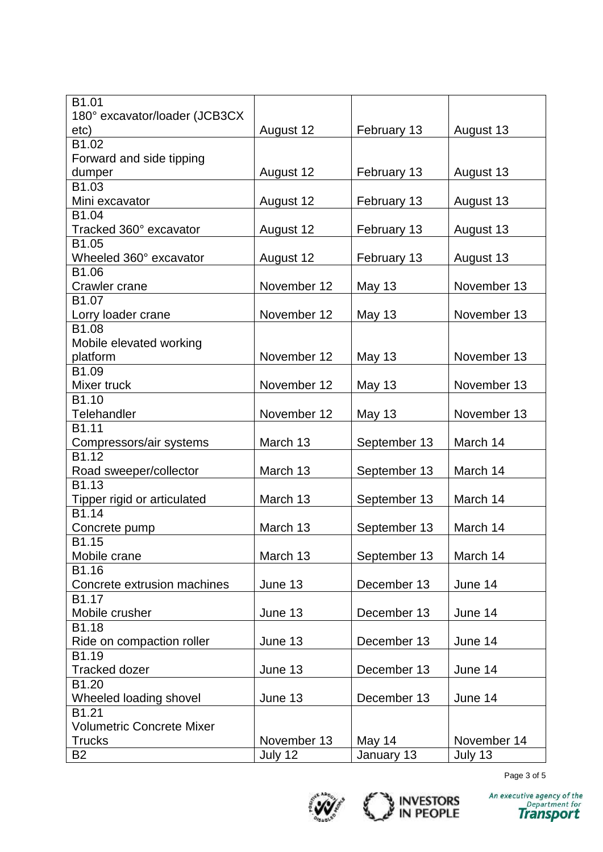| B1.01                            |             |               |             |
|----------------------------------|-------------|---------------|-------------|
| 180° excavator/loader (JCB3CX    |             |               |             |
| etc)                             | August 12   | February 13   | August 13   |
| B1.02                            |             |               |             |
| Forward and side tipping         |             |               |             |
| dumper                           | August 12   | February 13   | August 13   |
| B1.03                            |             |               |             |
| Mini excavator                   | August 12   | February 13   | August 13   |
| B1.04<br>Tracked 360° excavator  | August 12   | February 13   | August 13   |
| B1.05                            |             |               |             |
| Wheeled 360° excavator           | August 12   | February 13   | August 13   |
| B1.06                            |             |               |             |
| Crawler crane                    | November 12 | <b>May 13</b> | November 13 |
| B <sub>1.07</sub>                |             |               |             |
| Lorry loader crane               | November 12 | <b>May 13</b> | November 13 |
| B1.08                            |             |               |             |
| Mobile elevated working          |             |               |             |
| platform                         | November 12 | <b>May 13</b> | November 13 |
| B1.09                            |             |               |             |
| Mixer truck                      | November 12 | <b>May 13</b> | November 13 |
| B <sub>1.10</sub>                |             |               |             |
| Telehandler                      | November 12 | <b>May 13</b> | November 13 |
| B1.11                            | March 13    |               | March 14    |
| Compressors/air systems<br>B1.12 |             | September 13  |             |
| Road sweeper/collector           | March 13    | September 13  | March 14    |
| B <sub>1.13</sub>                |             |               |             |
| Tipper rigid or articulated      | March 13    | September 13  | March 14    |
| B1.14                            |             |               |             |
| Concrete pump                    | March 13    | September 13  | March 14    |
| B1.15                            |             |               |             |
| Mobile crane                     | March 13    | September 13  | March 14    |
| B1.16                            |             |               |             |
| Concrete extrusion machines      | June 13     | December 13   | June 14     |
| B1.17                            |             |               |             |
| Mobile crusher                   | June 13     | December 13   | June 14     |
| B1.18                            |             |               |             |
| Ride on compaction roller        | June 13     | December 13   | June 14     |
| B1.19                            |             |               |             |
| <b>Tracked dozer</b>             | June 13     | December 13   | June 14     |
| B1.20                            |             |               |             |
| Wheeled loading shovel           | June 13     | December 13   | June 14     |
| B <sub>1.21</sub>                |             |               |             |
| <b>Volumetric Concrete Mixer</b> |             |               |             |
| <b>Trucks</b>                    | November 13 | May 14        | November 14 |
| <b>B2</b>                        | July 12     | January 13    | July 13     |

Page 3 of 5



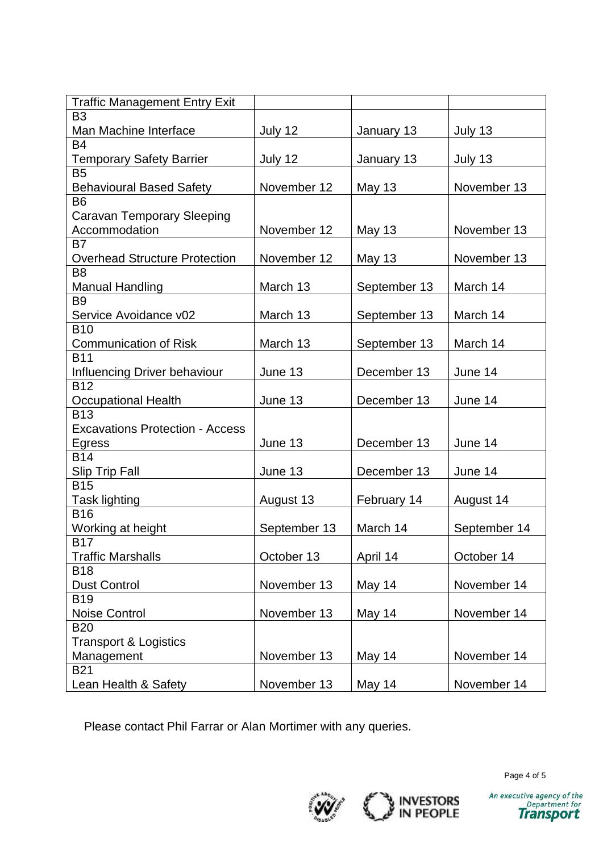| <b>Traffic Management Entry Exit</b>   |              |               |              |
|----------------------------------------|--------------|---------------|--------------|
| B <sub>3</sub>                         |              |               |              |
| Man Machine Interface                  | July 12      | January 13    | July 13      |
| <b>B4</b>                              |              |               |              |
| <b>Temporary Safety Barrier</b>        | July 12      | January 13    | July 13      |
| B <sub>5</sub>                         |              |               |              |
| <b>Behavioural Based Safety</b>        | November 12  | May 13        | November 13  |
| B <sub>6</sub>                         |              |               |              |
| <b>Caravan Temporary Sleeping</b>      |              |               |              |
| Accommodation                          | November 12  | <b>May 13</b> | November 13  |
| B7                                     |              |               |              |
| <b>Overhead Structure Protection</b>   | November 12  | <b>May 13</b> | November 13  |
| B <sub>8</sub>                         |              |               |              |
| <b>Manual Handling</b>                 | March 13     | September 13  | March 14     |
| B <sub>9</sub>                         |              |               |              |
| Service Avoidance v02                  | March 13     | September 13  | March 14     |
| <b>B10</b>                             |              |               |              |
| <b>Communication of Risk</b>           | March 13     | September 13  | March 14     |
| <b>B11</b>                             |              |               |              |
| Influencing Driver behaviour           | June 13      | December 13   | June 14      |
| <b>B12</b>                             |              |               |              |
| <b>Occupational Health</b>             | June 13      | December 13   | June 14      |
| <b>B13</b>                             |              |               |              |
| <b>Excavations Protection - Access</b> |              |               |              |
| Egress                                 | June 13      | December 13   | June 14      |
| <b>B14</b>                             |              |               |              |
| <b>Slip Trip Fall</b>                  | June 13      | December 13   | June 14      |
| <b>B15</b>                             |              |               |              |
| Task lighting                          | August 13    | February 14   | August 14    |
| <b>B16</b>                             |              |               |              |
| Working at height                      | September 13 | March 14      | September 14 |
| <b>B17</b>                             |              |               |              |
| <b>Traffic Marshalls</b>               | October 13   | April 14      | October 14   |
| <b>B18</b>                             |              |               |              |
| <b>Dust Control</b>                    | November 13  | May 14        | November 14  |
| <b>B19</b>                             |              |               |              |
| <b>Noise Control</b>                   | November 13  | May 14        | November 14  |
| <b>B20</b>                             |              |               |              |
| <b>Transport &amp; Logistics</b>       |              |               |              |
| Management                             | November 13  | May 14        | November 14  |
| <b>B21</b>                             |              |               |              |
| Lean Health & Safety                   | November 13  | May 14        | November 14  |

Please contact Phil Farrar or Alan Mortimer with any queries.





Page 4 of 5